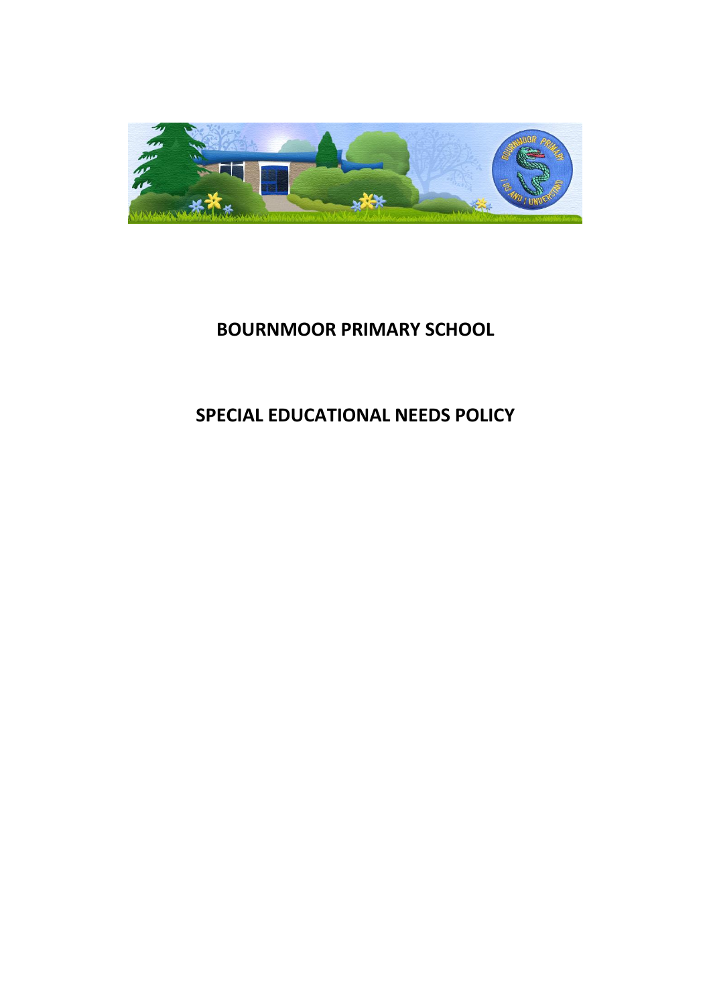

# **BOURNMOOR PRIMARY SCHOOL**

# **SPECIAL EDUCATIONAL NEEDS POLICY**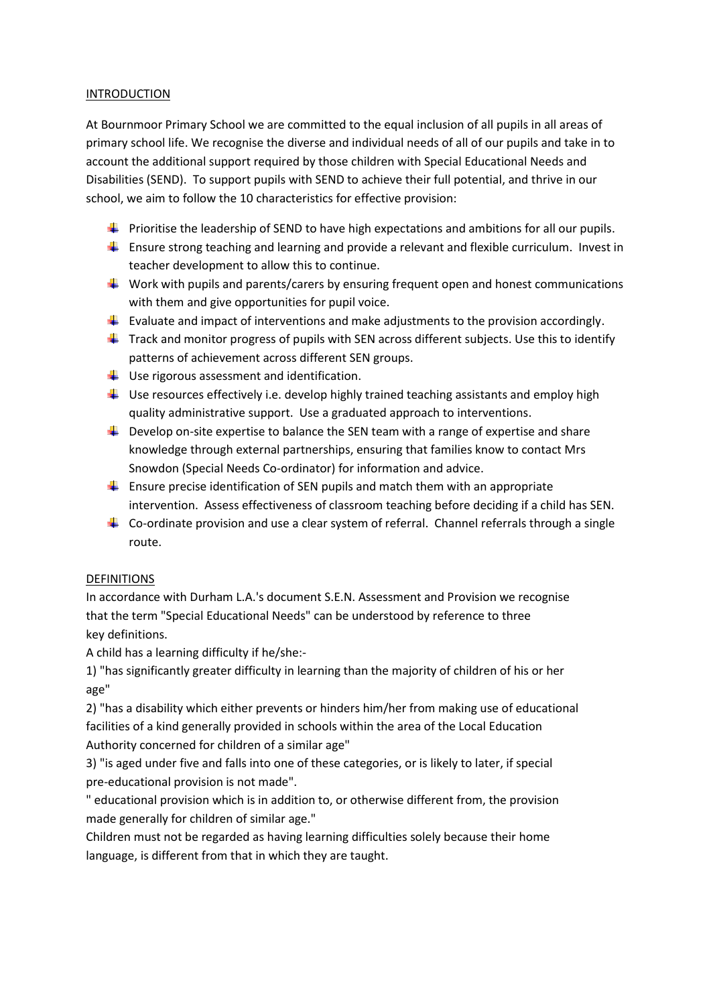#### INTRODUCTION

At Bournmoor Primary School we are committed to the equal inclusion of all pupils in all areas of primary school life. We recognise the diverse and individual needs of all of our pupils and take in to account the additional support required by those children with Special Educational Needs and Disabilities (SEND). To support pupils with SEND to achieve their full potential, and thrive in our school, we aim to follow the 10 characteristics for effective provision:

- $\ddot{+}$  Prioritise the leadership of SEND to have high expectations and ambitions for all our pupils.
- $\ddot{\phantom{1}}$  Ensure strong teaching and learning and provide a relevant and flexible curriculum. Invest in teacher development to allow this to continue.
- Work with pupils and parents/carers by ensuring frequent open and honest communications with them and give opportunities for pupil voice.
- **Evaluate and impact of interventions and make adjustments to the provision accordingly.**
- $\ddot{+}$  Track and monitor progress of pupils with SEN across different subjects. Use this to identify patterns of achievement across different SEN groups.
- $\downarrow$  Use rigorous assessment and identification.
- $\downarrow$  Use resources effectively i.e. develop highly trained teaching assistants and employ high quality administrative support. Use a graduated approach to interventions.
- $\ddot{\phantom{1}}$  Develop on-site expertise to balance the SEN team with a range of expertise and share knowledge through external partnerships, ensuring that families know to contact Mrs Snowdon (Special Needs Co-ordinator) for information and advice.
- $\ddot{\phantom{1}}$  Ensure precise identification of SEN pupils and match them with an appropriate intervention. Assess effectiveness of classroom teaching before deciding if a child has SEN.
- $\ddot{\phantom{1}}$  Co-ordinate provision and use a clear system of referral. Channel referrals through a single route.

# DEFINITIONS

In accordance with Durham L.A.'s document S.E.N. Assessment and Provision we recognise that the term "Special Educational Needs" can be understood by reference to three key definitions.

A child has a learning difficulty if he/she:-

1) "has significantly greater difficulty in learning than the majority of children of his or her age"

2) "has a disability which either prevents or hinders him/her from making use of educational facilities of a kind generally provided in schools within the area of the Local Education Authority concerned for children of a similar age"

3) "is aged under five and falls into one of these categories, or is likely to later, if special pre-educational provision is not made".

" educational provision which is in addition to, or otherwise different from, the provision made generally for children of similar age."

Children must not be regarded as having learning difficulties solely because their home language, is different from that in which they are taught.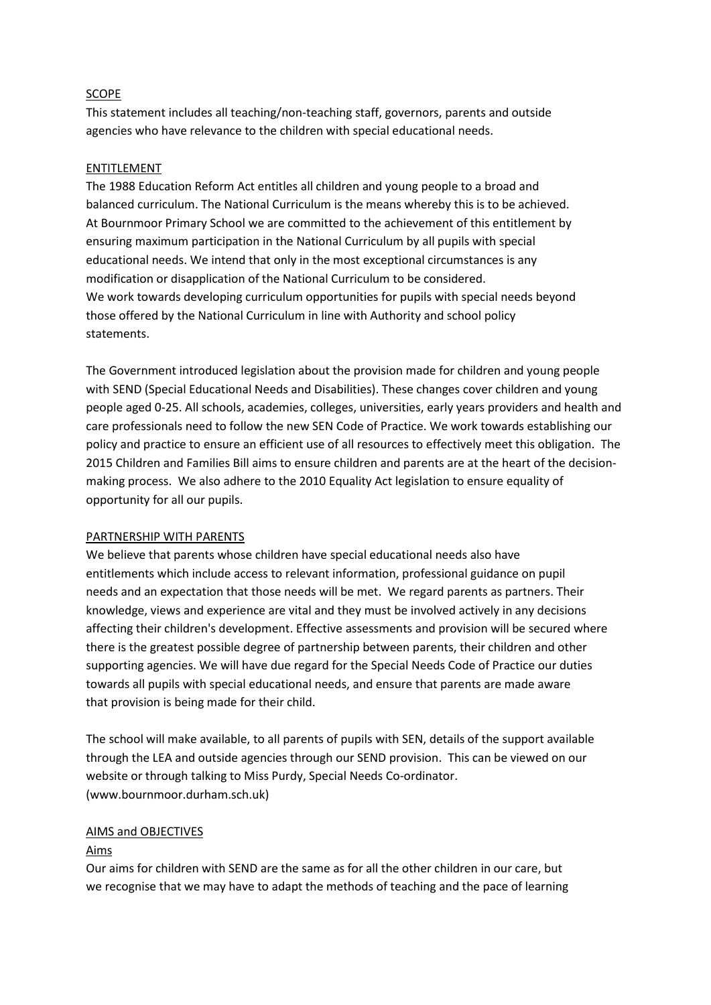#### SCOPE

This statement includes all teaching/non-teaching staff, governors, parents and outside agencies who have relevance to the children with special educational needs.

#### ENTITLEMENT

The 1988 Education Reform Act entitles all children and young people to a broad and balanced curriculum. The National Curriculum is the means whereby this is to be achieved. At Bournmoor Primary School we are committed to the achievement of this entitlement by ensuring maximum participation in the National Curriculum by all pupils with special educational needs. We intend that only in the most exceptional circumstances is any modification or disapplication of the National Curriculum to be considered. We work towards developing curriculum opportunities for pupils with special needs beyond those offered by the National Curriculum in line with Authority and school policy statements.

The Government introduced legislation about the provision made for children and young people with SEND (Special Educational Needs and Disabilities). These changes cover children and young people aged 0-25. All schools, academies, colleges, universities, early years providers and health and care professionals need to follow the new SEN Code of Practice. We work towards establishing our policy and practice to ensure an efficient use of all resources to effectively meet this obligation. The 2015 Children and Families Bill aims to ensure children and parents are at the heart of the decisionmaking process. We also adhere to the 2010 Equality Act legislation to ensure equality of opportunity for all our pupils.

#### PARTNERSHIP WITH PARENTS

We believe that parents whose children have special educational needs also have entitlements which include access to relevant information, professional guidance on pupil needs and an expectation that those needs will be met. We regard parents as partners. Their knowledge, views and experience are vital and they must be involved actively in any decisions affecting their children's development. Effective assessments and provision will be secured where there is the greatest possible degree of partnership between parents, their children and other supporting agencies. We will have due regard for the Special Needs Code of Practice our duties towards all pupils with special educational needs, and ensure that parents are made aware that provision is being made for their child.

The school will make available, to all parents of pupils with SEN, details of the support available through the LEA and outside agencies through our SEND provision. This can be viewed on our website or through talking to Miss Purdy, Special Needs Co-ordinator. (www.bournmoor.durham.sch.uk)

#### AIMS and OBJECTIVES

#### Aims

Our aims for children with SEND are the same as for all the other children in our care, but we recognise that we may have to adapt the methods of teaching and the pace of learning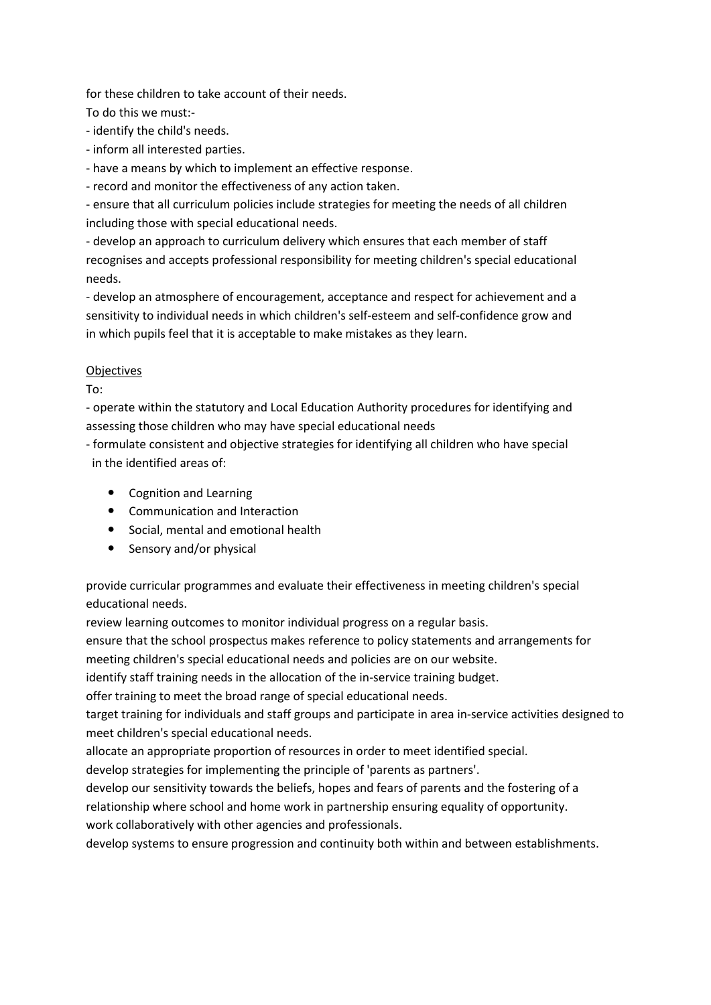for these children to take account of their needs.

To do this we must:-

- identify the child's needs.

- inform all interested parties.

- have a means by which to implement an effective response.

- record and monitor the effectiveness of any action taken.

- ensure that all curriculum policies include strategies for meeting the needs of all children including those with special educational needs.

- develop an approach to curriculum delivery which ensures that each member of staff recognises and accepts professional responsibility for meeting children's special educational needs.

- develop an atmosphere of encouragement, acceptance and respect for achievement and a sensitivity to individual needs in which children's self-esteem and self-confidence grow and in which pupils feel that it is acceptable to make mistakes as they learn.

# Objectives

To:

- operate within the statutory and Local Education Authority procedures for identifying and assessing those children who may have special educational needs

- formulate consistent and objective strategies for identifying all children who have special in the identified areas of:

- Cognition and Learning
- Communication and Interaction
- Social, mental and emotional health
- Sensory and/or physical

provide curricular programmes and evaluate their effectiveness in meeting children's special educational needs.

review learning outcomes to monitor individual progress on a regular basis.

ensure that the school prospectus makes reference to policy statements and arrangements for meeting children's special educational needs and policies are on our website.

identify staff training needs in the allocation of the in-service training budget.

offer training to meet the broad range of special educational needs.

target training for individuals and staff groups and participate in area in-service activities designed to meet children's special educational needs.

allocate an appropriate proportion of resources in order to meet identified special.

develop strategies for implementing the principle of 'parents as partners'.

develop our sensitivity towards the beliefs, hopes and fears of parents and the fostering of a relationship where school and home work in partnership ensuring equality of opportunity. work collaboratively with other agencies and professionals.

develop systems to ensure progression and continuity both within and between establishments.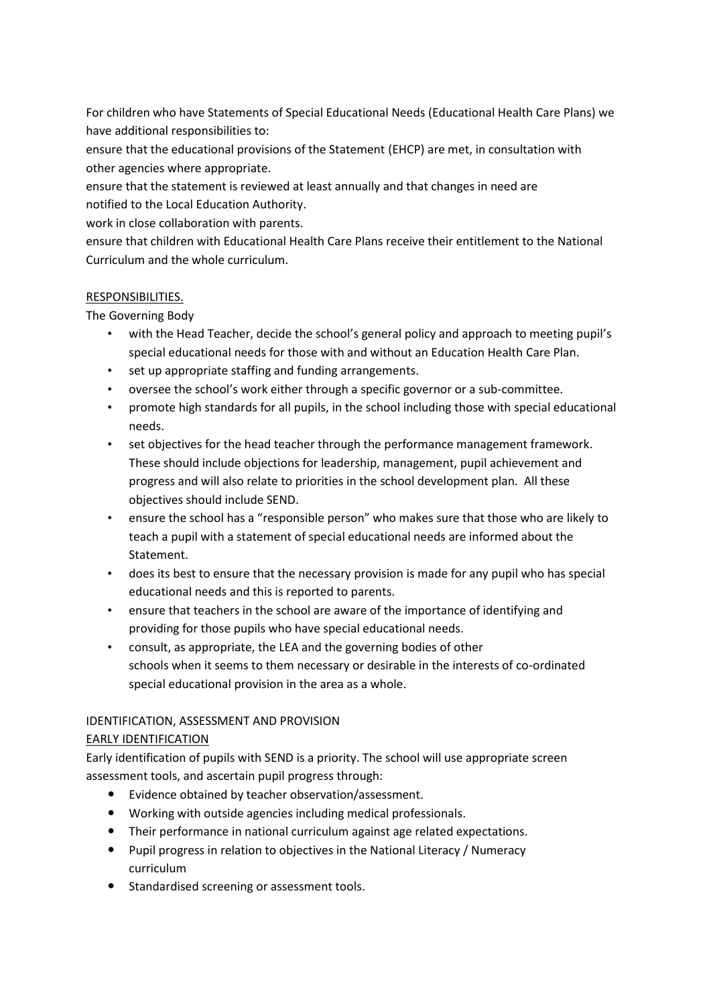For children who have Statements of Special Educational Needs (Educational Health Care Plans) we have additional responsibilities to:

ensure that the educational provisions of the Statement (EHCP) are met, in consultation with other agencies where appropriate.

ensure that the statement is reviewed at least annually and that changes in need are notified to the Local Education Authority.

work in close collaboration with parents.

ensure that children with Educational Health Care Plans receive their entitlement to the National Curriculum and the whole curriculum.

# RESPONSIBILITIES.

The Governing Body

- with the Head Teacher, decide the school's general policy and approach to meeting pupil's special educational needs for those with and without an Education Health Care Plan.
- set up appropriate staffing and funding arrangements.
- oversee the school's work either through a specific governor or a sub-committee.
- promote high standards for all pupils, in the school including those with special educational needs.
- set objectives for the head teacher through the performance management framework. These should include objections for leadership, management, pupil achievement and progress and will also relate to priorities in the school development plan. All these objectives should include SEND.
- ensure the school has a "responsible person" who makes sure that those who are likely to teach a pupil with a statement of special educational needs are informed about the Statement.
- does its best to ensure that the necessary provision is made for any pupil who has special educational needs and this is reported to parents.
- ensure that teachers in the school are aware of the importance of identifying and providing for those pupils who have special educational needs.
- consult, as appropriate, the LEA and the governing bodies of other schools when it seems to them necessary or desirable in the interests of co-ordinated special educational provision in the area as a whole.

# IDENTIFICATION, ASSESSMENT AND PROVISION

# EARLY IDENTIFICATION

Early identification of pupils with SEND is a priority. The school will use appropriate screen assessment tools, and ascertain pupil progress through:

- Evidence obtained by teacher observation/assessment.
- Working with outside agencies including medical professionals.
- Their performance in national curriculum against age related expectations.
- Pupil progress in relation to objectives in the National Literacy / Numeracy curriculum
- **•** Standardised screening or assessment tools.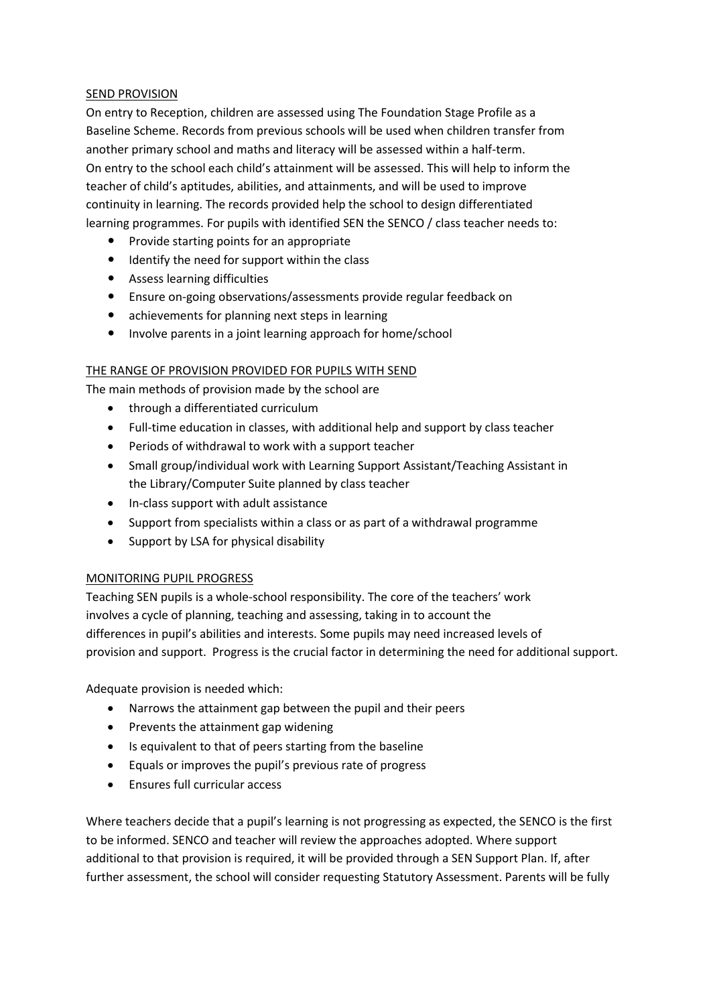#### SEND PROVISION

On entry to Reception, children are assessed using The Foundation Stage Profile as a Baseline Scheme. Records from previous schools will be used when children transfer from another primary school and maths and literacy will be assessed within a half-term. On entry to the school each child's attainment will be assessed. This will help to inform the teacher of child's aptitudes, abilities, and attainments, and will be used to improve continuity in learning. The records provided help the school to design differentiated learning programmes. For pupils with identified SEN the SENCO / class teacher needs to:

- Provide starting points for an appropriate
- Identify the need for support within the class
- Assess learning difficulties
- Ensure on-going observations/assessments provide regular feedback on
- achievements for planning next steps in learning
- Involve parents in a joint learning approach for home/school

# THE RANGE OF PROVISION PROVIDED FOR PUPILS WITH SEND

The main methods of provision made by the school are

- through a differentiated curriculum
- Full-time education in classes, with additional help and support by class teacher
- Periods of withdrawal to work with a support teacher
- Small group/individual work with Learning Support Assistant/Teaching Assistant in the Library/Computer Suite planned by class teacher
- In-class support with adult assistance
- Support from specialists within a class or as part of a withdrawal programme
- Support by LSA for physical disability

# MONITORING PUPIL PROGRESS

Teaching SEN pupils is a whole-school responsibility. The core of the teachers' work involves a cycle of planning, teaching and assessing, taking in to account the differences in pupil's abilities and interests. Some pupils may need increased levels of provision and support. Progress is the crucial factor in determining the need for additional support.

Adequate provision is needed which:

- Narrows the attainment gap between the pupil and their peers
- Prevents the attainment gap widening
- Is equivalent to that of peers starting from the baseline
- Equals or improves the pupil's previous rate of progress
- Ensures full curricular access

Where teachers decide that a pupil's learning is not progressing as expected, the SENCO is the first to be informed. SENCO and teacher will review the approaches adopted. Where support additional to that provision is required, it will be provided through a SEN Support Plan. If, after further assessment, the school will consider requesting Statutory Assessment. Parents will be fully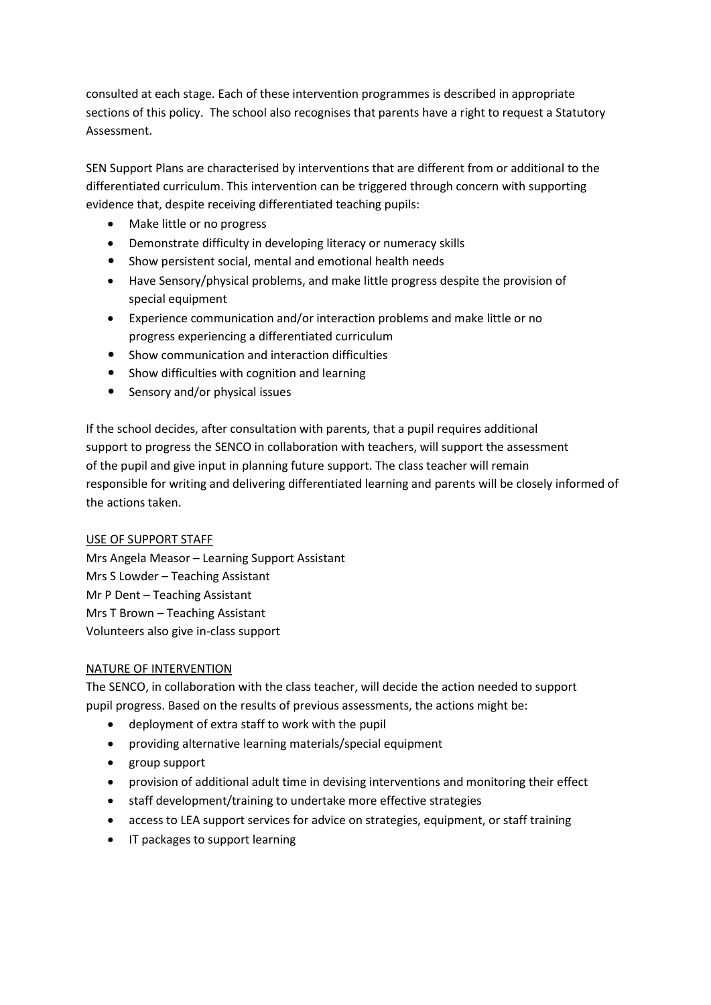consulted at each stage. Each of these intervention programmes is described in appropriate sections of this policy. The school also recognises that parents have a right to request a Statutory Assessment.

SEN Support Plans are characterised by interventions that are different from or additional to the differentiated curriculum. This intervention can be triggered through concern with supporting evidence that, despite receiving differentiated teaching pupils:

- Make little or no progress
- Demonstrate difficulty in developing literacy or numeracy skills
- Show persistent social, mental and emotional health needs
- Have Sensory/physical problems, and make little progress despite the provision of special equipment
- Experience communication and/or interaction problems and make little or no progress experiencing a differentiated curriculum
- Show communication and interaction difficulties
- Show difficulties with cognition and learning
- Sensory and/or physical issues

If the school decides, after consultation with parents, that a pupil requires additional support to progress the SENCO in collaboration with teachers, will support the assessment of the pupil and give input in planning future support. The class teacher will remain responsible for writing and delivering differentiated learning and parents will be closely informed of the actions taken.

#### USE OF SUPPORT STAFF

Mrs Angela Measor – Learning Support Assistant Mrs S Lowder – Teaching Assistant Mr P Dent – Teaching Assistant Mrs T Brown – Teaching Assistant Volunteers also give in-class support

# NATURE OF INTERVENTION

The SENCO, in collaboration with the class teacher, will decide the action needed to support pupil progress. Based on the results of previous assessments, the actions might be:

- deployment of extra staff to work with the pupil
- providing alternative learning materials/special equipment
- group support
- provision of additional adult time in devising interventions and monitoring their effect
- staff development/training to undertake more effective strategies
- access to LEA support services for advice on strategies, equipment, or staff training
- IT packages to support learning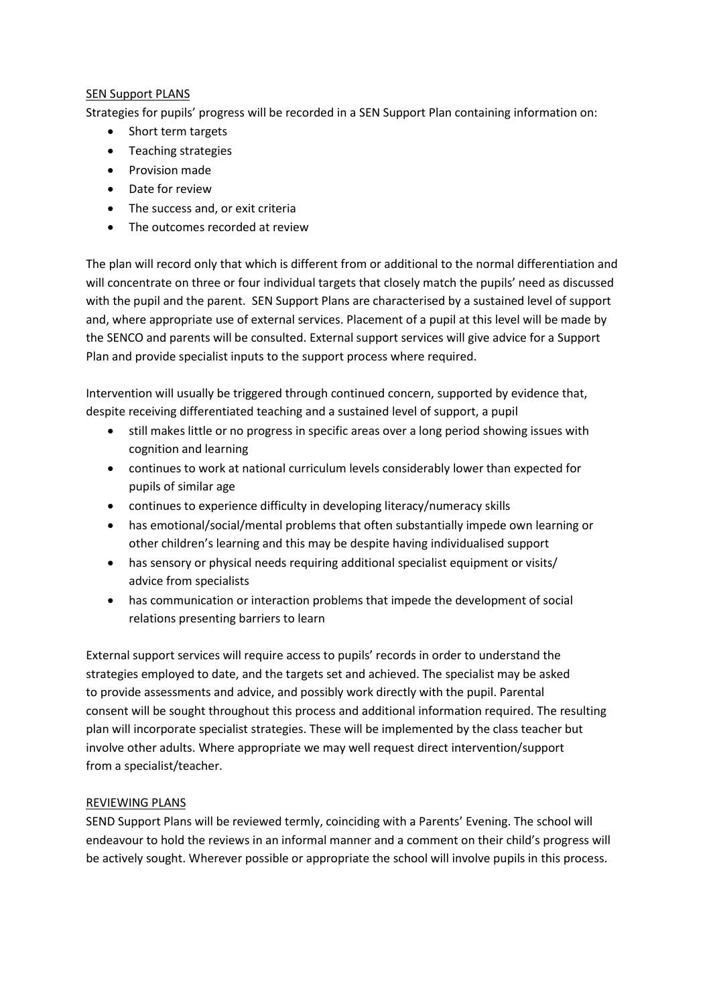## SEN Support PLANS

Strategies for pupils' progress will be recorded in a SEN Support Plan containing information on:

- Short term targets
- Teaching strategies
- Provision made
- Date for review
- The success and, or exit criteria
- The outcomes recorded at review

The plan will record only that which is different from or additional to the normal differentiation and will concentrate on three or four individual targets that closely match the pupils' need as discussed with the pupil and the parent. SEN Support Plans are characterised by a sustained level of support and, where appropriate use of external services. Placement of a pupil at this level will be made by the SENCO and parents will be consulted. External support services will give advice for a Support Plan and provide specialist inputs to the support process where required.

Intervention will usually be triggered through continued concern, supported by evidence that, despite receiving differentiated teaching and a sustained level of support, a pupil

- still makes little or no progress in specific areas over a long period showing issues with cognition and learning
- continues to work at national curriculum levels considerably lower than expected for pupils of similar age
- continues to experience difficulty in developing literacy/numeracy skills
- has emotional/social/mental problems that often substantially impede own learning or other children's learning and this may be despite having individualised support
- has sensory or physical needs requiring additional specialist equipment or visits/ advice from specialists
- has communication or interaction problems that impede the development of social relations presenting barriers to learn

External support services will require access to pupils' records in order to understand the strategies employed to date, and the targets set and achieved. The specialist may be asked to provide assessments and advice, and possibly work directly with the pupil. Parental consent will be sought throughout this process and additional information required. The resulting plan will incorporate specialist strategies. These will be implemented by the class teacher but involve other adults. Where appropriate we may well request direct intervention/support from a specialist/teacher.

# REVIEWING PLANS

SEND Support Plans will be reviewed termly, coinciding with a Parents' Evening. The school will endeavour to hold the reviews in an informal manner and a comment on their child's progress will be actively sought. Wherever possible or appropriate the school will involve pupils in this process.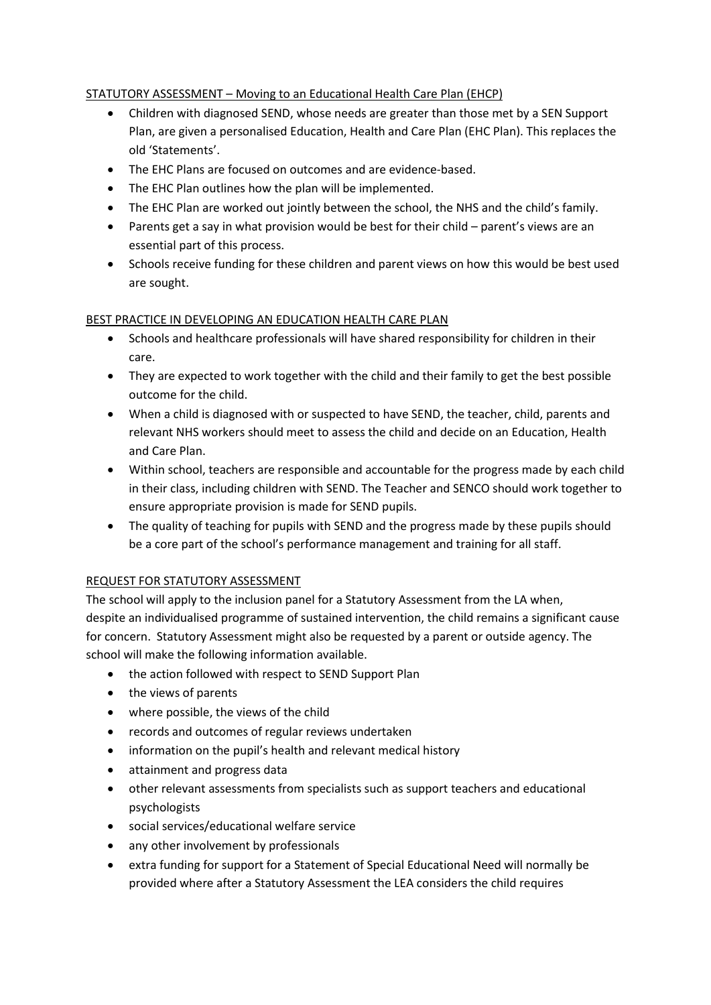# STATUTORY ASSESSMENT – Moving to an Educational Health Care Plan (EHCP)

- Children with diagnosed SEND, whose needs are greater than those met by a SEN Support Plan, are given a personalised Education, Health and Care Plan (EHC Plan). This replaces the old 'Statements'.
- The EHC Plans are focused on outcomes and are evidence-based.
- The EHC Plan outlines how the plan will be implemented.
- The EHC Plan are worked out jointly between the school, the NHS and the child's family.
- Parents get a say in what provision would be best for their child parent's views are an essential part of this process.
- Schools receive funding for these children and parent views on how this would be best used are sought.

# BEST PRACTICE IN DEVELOPING AN EDUCATION HEALTH CARE PLAN

- Schools and healthcare professionals will have shared responsibility for children in their care.
- They are expected to work together with the child and their family to get the best possible outcome for the child.
- When a child is diagnosed with or suspected to have SEND, the teacher, child, parents and relevant NHS workers should meet to assess the child and decide on an Education, Health and Care Plan.
- Within school, teachers are responsible and accountable for the progress made by each child in their class, including children with SEND. The Teacher and SENCO should work together to ensure appropriate provision is made for SEND pupils.
- The quality of teaching for pupils with SEND and the progress made by these pupils should be a core part of the school's performance management and training for all staff.

# REQUEST FOR STATUTORY ASSESSMENT

The school will apply to the inclusion panel for a Statutory Assessment from the LA when, despite an individualised programme of sustained intervention, the child remains a significant cause for concern. Statutory Assessment might also be requested by a parent or outside agency. The school will make the following information available.

- the action followed with respect to SEND Support Plan
- the views of parents
- where possible, the views of the child
- records and outcomes of regular reviews undertaken
- information on the pupil's health and relevant medical history
- attainment and progress data
- other relevant assessments from specialists such as support teachers and educational psychologists
- social services/educational welfare service
- any other involvement by professionals
- extra funding for support for a Statement of Special Educational Need will normally be provided where after a Statutory Assessment the LEA considers the child requires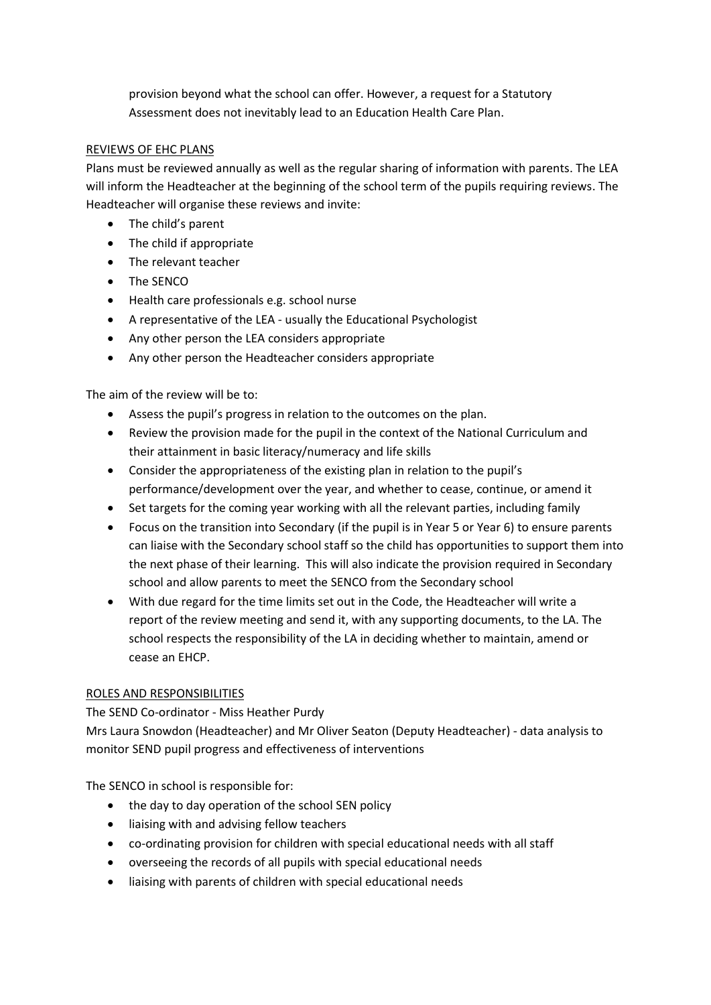provision beyond what the school can offer. However, a request for a Statutory Assessment does not inevitably lead to an Education Health Care Plan.

## REVIEWS OF EHC PLANS

Plans must be reviewed annually as well as the regular sharing of information with parents. The LEA will inform the Headteacher at the beginning of the school term of the pupils requiring reviews. The Headteacher will organise these reviews and invite:

- The child's parent
- The child if appropriate
- The relevant teacher
- The SENCO
- Health care professionals e.g. school nurse
- A representative of the LEA usually the Educational Psychologist
- Any other person the LEA considers appropriate
- Any other person the Headteacher considers appropriate

The aim of the review will be to:

- Assess the pupil's progress in relation to the outcomes on the plan.
- Review the provision made for the pupil in the context of the National Curriculum and their attainment in basic literacy/numeracy and life skills
- Consider the appropriateness of the existing plan in relation to the pupil's performance/development over the year, and whether to cease, continue, or amend it
- Set targets for the coming year working with all the relevant parties, including family
- Focus on the transition into Secondary (if the pupil is in Year 5 or Year 6) to ensure parents can liaise with the Secondary school staff so the child has opportunities to support them into the next phase of their learning. This will also indicate the provision required in Secondary school and allow parents to meet the SENCO from the Secondary school
- With due regard for the time limits set out in the Code, the Headteacher will write a report of the review meeting and send it, with any supporting documents, to the LA. The school respects the responsibility of the LA in deciding whether to maintain, amend or cease an EHCP.

# ROLES AND RESPONSIBILITIES

The SEND Co-ordinator - Miss Heather Purdy

Mrs Laura Snowdon (Headteacher) and Mr Oliver Seaton (Deputy Headteacher) - data analysis to monitor SEND pupil progress and effectiveness of interventions

The SENCO in school is responsible for:

- the day to day operation of the school SEN policy
- liaising with and advising fellow teachers
- co-ordinating provision for children with special educational needs with all staff
- overseeing the records of all pupils with special educational needs
- liaising with parents of children with special educational needs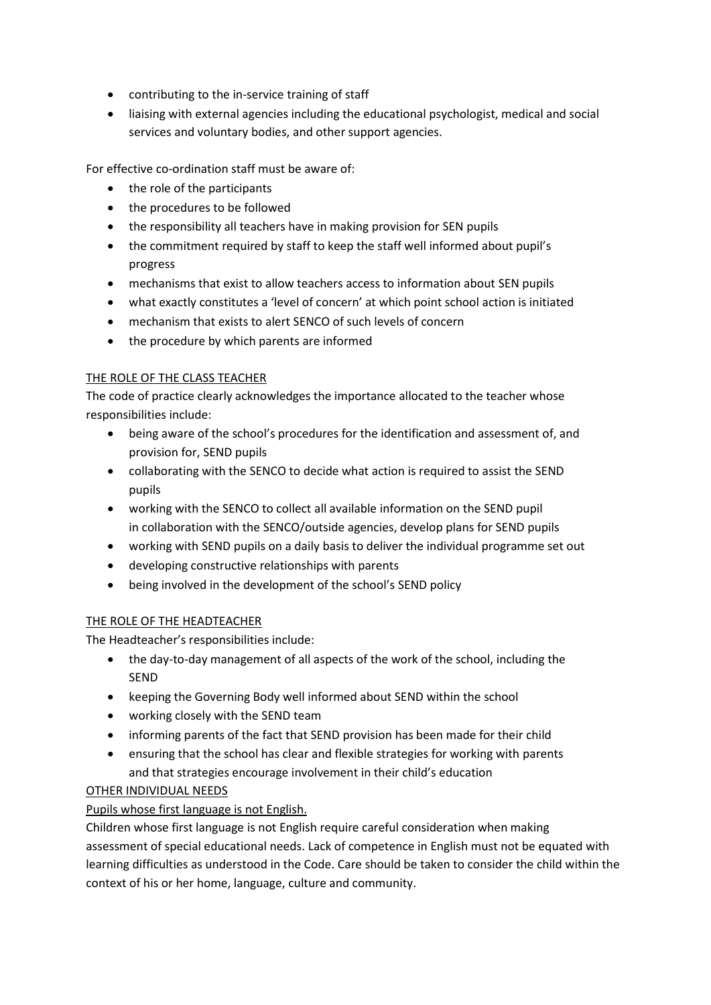- contributing to the in-service training of staff
- liaising with external agencies including the educational psychologist, medical and social services and voluntary bodies, and other support agencies.

For effective co-ordination staff must be aware of:

- the role of the participants
- the procedures to be followed
- the responsibility all teachers have in making provision for SEN pupils
- the commitment required by staff to keep the staff well informed about pupil's progress
- mechanisms that exist to allow teachers access to information about SEN pupils
- what exactly constitutes a 'level of concern' at which point school action is initiated
- mechanism that exists to alert SENCO of such levels of concern
- the procedure by which parents are informed

# THE ROLE OF THE CLASS TEACHER

The code of practice clearly acknowledges the importance allocated to the teacher whose responsibilities include:

- being aware of the school's procedures for the identification and assessment of, and provision for, SEND pupils
- collaborating with the SENCO to decide what action is required to assist the SEND pupils
- working with the SENCO to collect all available information on the SEND pupil in collaboration with the SENCO/outside agencies, develop plans for SEND pupils
- working with SEND pupils on a daily basis to deliver the individual programme set out
- developing constructive relationships with parents
- being involved in the development of the school's SEND policy

# THE ROLE OF THE HEADTEACHER

The Headteacher's responsibilities include:

- the day-to-day management of all aspects of the work of the school, including the SEND
- keeping the Governing Body well informed about SEND within the school
- working closely with the SEND team
- informing parents of the fact that SEND provision has been made for their child
- ensuring that the school has clear and flexible strategies for working with parents and that strategies encourage involvement in their child's education

# OTHER INDIVIDUAL NEEDS

# Pupils whose first language is not English.

Children whose first language is not English require careful consideration when making assessment of special educational needs. Lack of competence in English must not be equated with learning difficulties as understood in the Code. Care should be taken to consider the child within the context of his or her home, language, culture and community.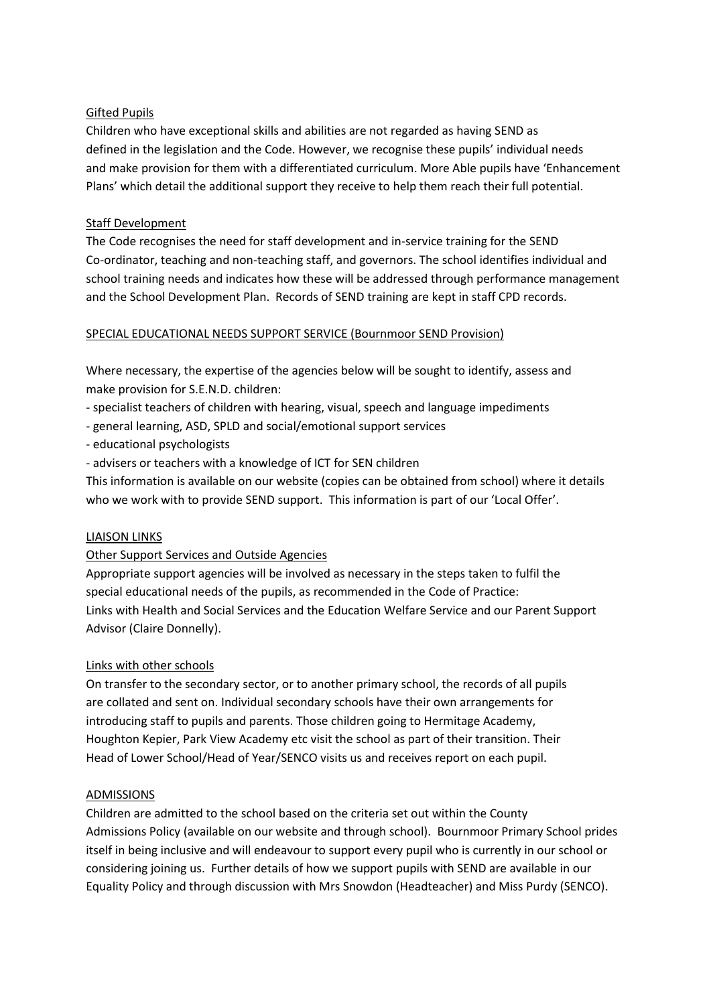## Gifted Pupils

Children who have exceptional skills and abilities are not regarded as having SEND as defined in the legislation and the Code. However, we recognise these pupils' individual needs and make provision for them with a differentiated curriculum. More Able pupils have 'Enhancement Plans' which detail the additional support they receive to help them reach their full potential.

## Staff Development

The Code recognises the need for staff development and in-service training for the SEND Co-ordinator, teaching and non-teaching staff, and governors. The school identifies individual and school training needs and indicates how these will be addressed through performance management and the School Development Plan. Records of SEND training are kept in staff CPD records.

#### SPECIAL EDUCATIONAL NEEDS SUPPORT SERVICE (Bournmoor SEND Provision)

Where necessary, the expertise of the agencies below will be sought to identify, assess and make provision for S.E.N.D. children:

- specialist teachers of children with hearing, visual, speech and language impediments

- general learning, ASD, SPLD and social/emotional support services
- educational psychologists
- advisers or teachers with a knowledge of ICT for SEN children

This information is available on our website (copies can be obtained from school) where it details who we work with to provide SEND support. This information is part of our 'Local Offer'.

#### LIAISON LINKS

#### Other Support Services and Outside Agencies

Appropriate support agencies will be involved as necessary in the steps taken to fulfil the special educational needs of the pupils, as recommended in the Code of Practice: Links with Health and Social Services and the Education Welfare Service and our Parent Support Advisor (Claire Donnelly).

#### Links with other schools

On transfer to the secondary sector, or to another primary school, the records of all pupils are collated and sent on. Individual secondary schools have their own arrangements for introducing staff to pupils and parents. Those children going to Hermitage Academy, Houghton Kepier, Park View Academy etc visit the school as part of their transition. Their Head of Lower School/Head of Year/SENCO visits us and receives report on each pupil.

#### ADMISSIONS

Children are admitted to the school based on the criteria set out within the County Admissions Policy (available on our website and through school). Bournmoor Primary School prides itself in being inclusive and will endeavour to support every pupil who is currently in our school or considering joining us. Further details of how we support pupils with SEND are available in our Equality Policy and through discussion with Mrs Snowdon (Headteacher) and Miss Purdy (SENCO).